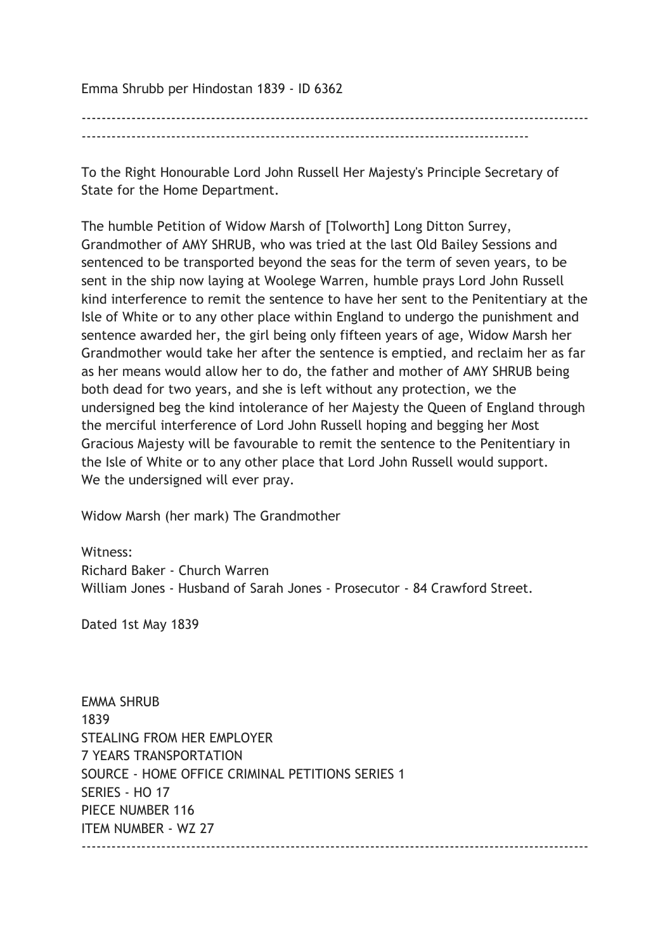Emma Shrubb per Hindostan 1839 - ID 6362

------------------------------------------------------------------------------------------------------

To the Right Honourable Lord John Russell Her Majesty's Principle Secretary of State for the Home Department.

The humble Petition of Widow Marsh of [Tolworth] Long Ditton Surrey, Grandmother of AMY SHRUB, who was tried at the last Old Bailey Sessions and sentenced to be transported beyond the seas for the term of seven years, to be sent in the ship now laying at Woolege Warren, humble prays Lord John Russell kind interference to remit the sentence to have her sent to the Penitentiary at the Isle of White or to any other place within England to undergo the punishment and sentence awarded her, the girl being only fifteen years of age, Widow Marsh her Grandmother would take her after the sentence is emptied, and reclaim her as far as her means would allow her to do, the father and mother of AMY SHRUB being both dead for two years, and she is left without any protection, we the undersigned beg the kind intolerance of her Majesty the Queen of England through the merciful interference of Lord John Russell hoping and begging her Most Gracious Majesty will be favourable to remit the sentence to the Penitentiary in the Isle of White or to any other place that Lord John Russell would support. We the undersigned will ever pray.

Widow Marsh (her mark) The Grandmother

Witness<sup>.</sup>

Richard Baker - Church Warren William Jones - Husband of Sarah Jones - Prosecutor - 84 Crawford Street.

Dated 1st May 1839

EMMA SHRUB 1839 STEALING FROM HER EMPLOYER 7 YEARS TRANSPORTATION SOURCE - HOME OFFICE CRIMINAL PETITIONS SERIES 1 SERIES - HO 17 PIECE NUMBER 116 ITEM NUMBER - WZ 27  $-$